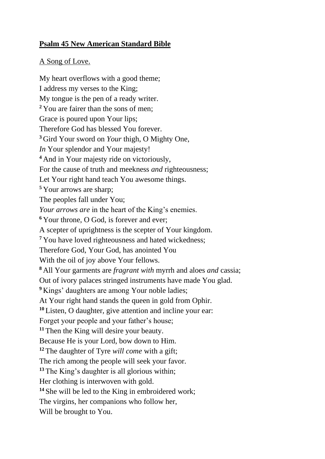## **Psalm 45 New American Standard Bible**

## A Song of Love.

My heart overflows with a good theme; I address my verses to the King; My tongue is the pen of a ready writer. **<sup>2</sup>** You are fairer than the sons of men; Grace is poured upon Your lips; Therefore God has blessed You forever. **<sup>3</sup>** Gird Your sword on *Your* thigh, O Mighty One, *In* Your splendor and Your majesty! **<sup>4</sup>** And in Your majesty ride on victoriously, For the cause of truth and meekness *and* righteousness; Let Your right hand teach You awesome things. **<sup>5</sup>** Your arrows are sharp; The peoples fall under You; *Your arrows are* in the heart of the King's enemies. **<sup>6</sup>** Your throne, O God, is forever and ever; A scepter of uprightness is the scepter of Your kingdom. **<sup>7</sup>** You have loved righteousness and hated wickedness; Therefore God, Your God, has anointed You With the oil of joy above Your fellows. **<sup>8</sup>** All Your garments are *fragrant with* myrrh and aloes *and* cassia; Out of ivory palaces stringed instruments have made You glad. <sup>9</sup> Kings' daughters are among Your noble ladies; At Your right hand stands the queen in gold from Ophir. **<sup>10</sup>** Listen, O daughter, give attention and incline your ear: Forget your people and your father's house; **<sup>11</sup>** Then the King will desire your beauty. Because He is your Lord, bow down to Him. **<sup>12</sup>** The daughter of Tyre *will come* with a gift; The rich among the people will seek your favor. **<sup>13</sup>** The King's daughter is all glorious within; Her clothing is interwoven with gold. **<sup>14</sup>** She will be led to the King in embroidered work; The virgins, her companions who follow her, Will be brought to You.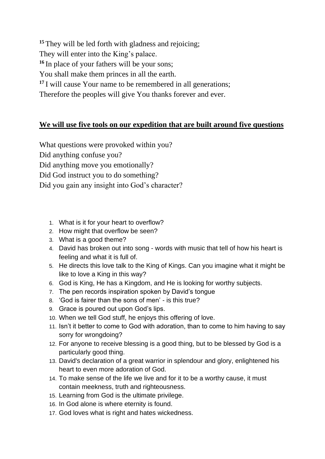**<sup>15</sup>** They will be led forth with gladness and rejoicing; They will enter into the King's palace. **<sup>16</sup>** In place of your fathers will be your sons; You shall make them princes in all the earth. **<sup>17</sup>** I will cause Your name to be remembered in all generations; Therefore the peoples will give You thanks forever and ever.

## **We will use five tools on our expedition that are built around five questions**

What questions were provoked within you? Did anything confuse you? Did anything move you emotionally? Did God instruct you to do something? Did you gain any insight into God's character?

- 1. What is it for your heart to overflow?
- 2. How might that overflow be seen?
- 3. What is a good theme?
- 4. David has broken out into song words with music that tell of how his heart is feeling and what it is full of.
- 5. He directs this love talk to the King of Kings. Can you imagine what it might be like to love a King in this way?
- 6. God is King, He has a Kingdom, and He is looking for worthy subjects.
- 7. The pen records inspiration spoken by David's tongue
- 8. 'God is fairer than the sons of men' is this true?
- 9. Grace is poured out upon God's lips.
- 10. When we tell God stuff, he enjoys this offering of love.
- 11. Isn't it better to come to God with adoration, than to come to him having to say sorry for wrongdoing?
- 12. For anyone to receive blessing is a good thing, but to be blessed by God is a particularly good thing.
- 13. David's declaration of a great warrior in splendour and glory, enlightened his heart to even more adoration of God.
- 14. To make sense of the life we live and for it to be a worthy cause, it must contain meekness, truth and righteousness.
- 15. Learning from God is the ultimate privilege.
- 16. In God alone is where eternity is found.
- 17. God loves what is right and hates wickedness.